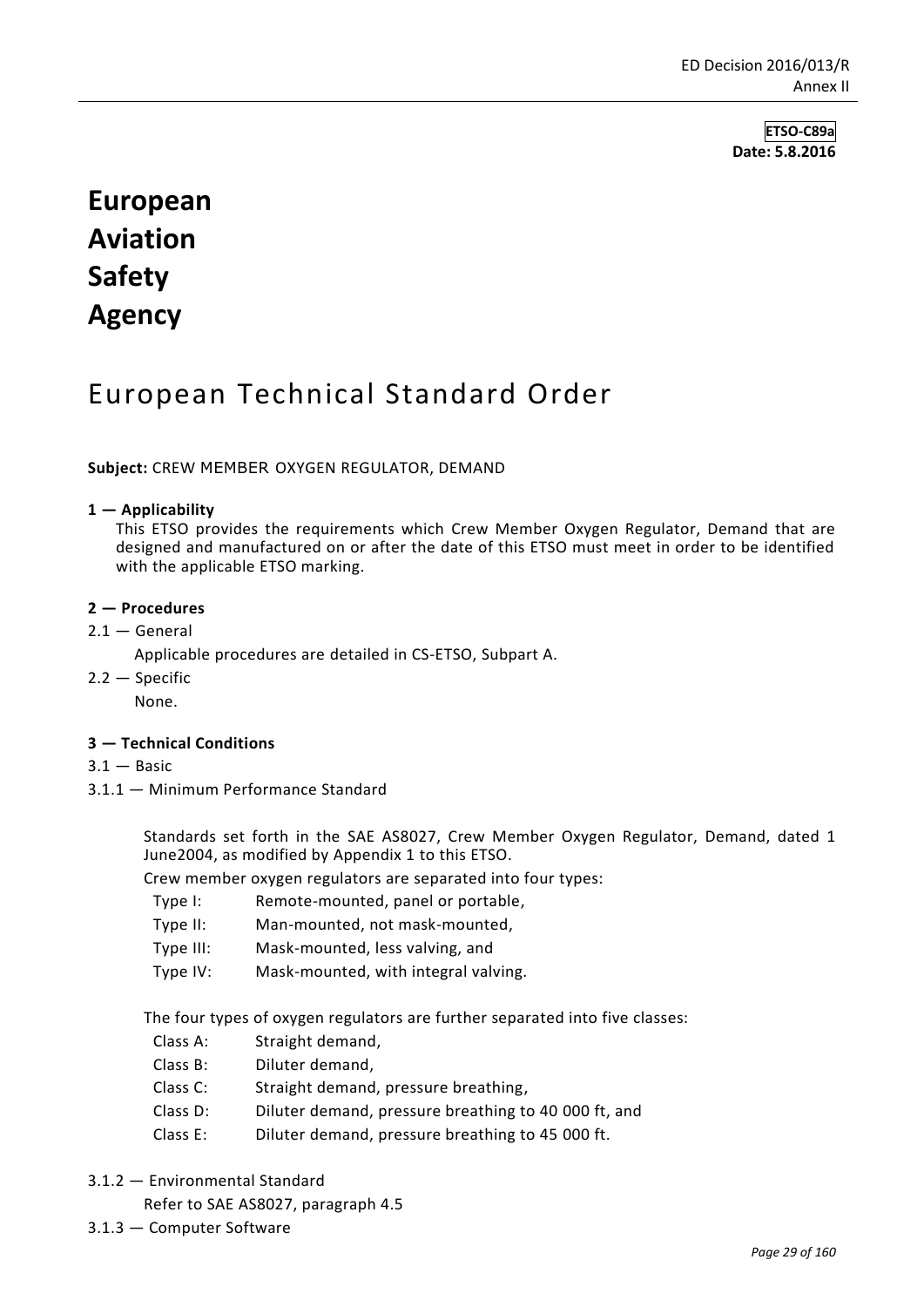**ETSO-C89a Date: 5.8.2016**

# **European Aviation Safety Agency**

# European Technical Standard Order

**Subject:** CREW MEMBER OXYGEN REGULATOR, DEMAND

#### **1 — Applicability**

This ETSO provides the requirements which Crew Member Oxygen Regulator, Demand that are designed and manufactured on or after the date of this ETSO must meet in order to be identified with the applicable ETSO marking.

#### **2 — Procedures**

 $2.1 -$  General

Applicable procedures are detailed in CS-ETSO, Subpart A.

 $2.2 -$ Specific

None.

#### **3 — Technical Conditions**

- $3.1 -$ Basic
- 3.1.1 Minimum Performance Standard

Standards set forth in the SAE AS8027, Crew Member Oxygen Regulator, Demand, dated 1 June2004, as modified by Appendix 1 to this ETSO.

Crew member oxygen regulators are separated into four types:

- Type I: Remote-mounted, panel or portable,
- Type II: Man-mounted, not mask-mounted,
- Type III: Mask-mounted, less valving, and
- Type IV: Mask-mounted, with integral valving.

The four types of oxygen regulators are further separated into five classes:

- Class A: Straight demand,
- Class B: Diluter demand,
- Class C: Straight demand, pressure breathing,
- Class D: Diluter demand, pressure breathing to 40 000 ft, and
- Class E: Diluter demand, pressure breathing to 45 000 ft.
- 3.1.2 Environmental Standard

Refer to SAE AS8027, paragraph 4.5

3.1.3 — Computer Software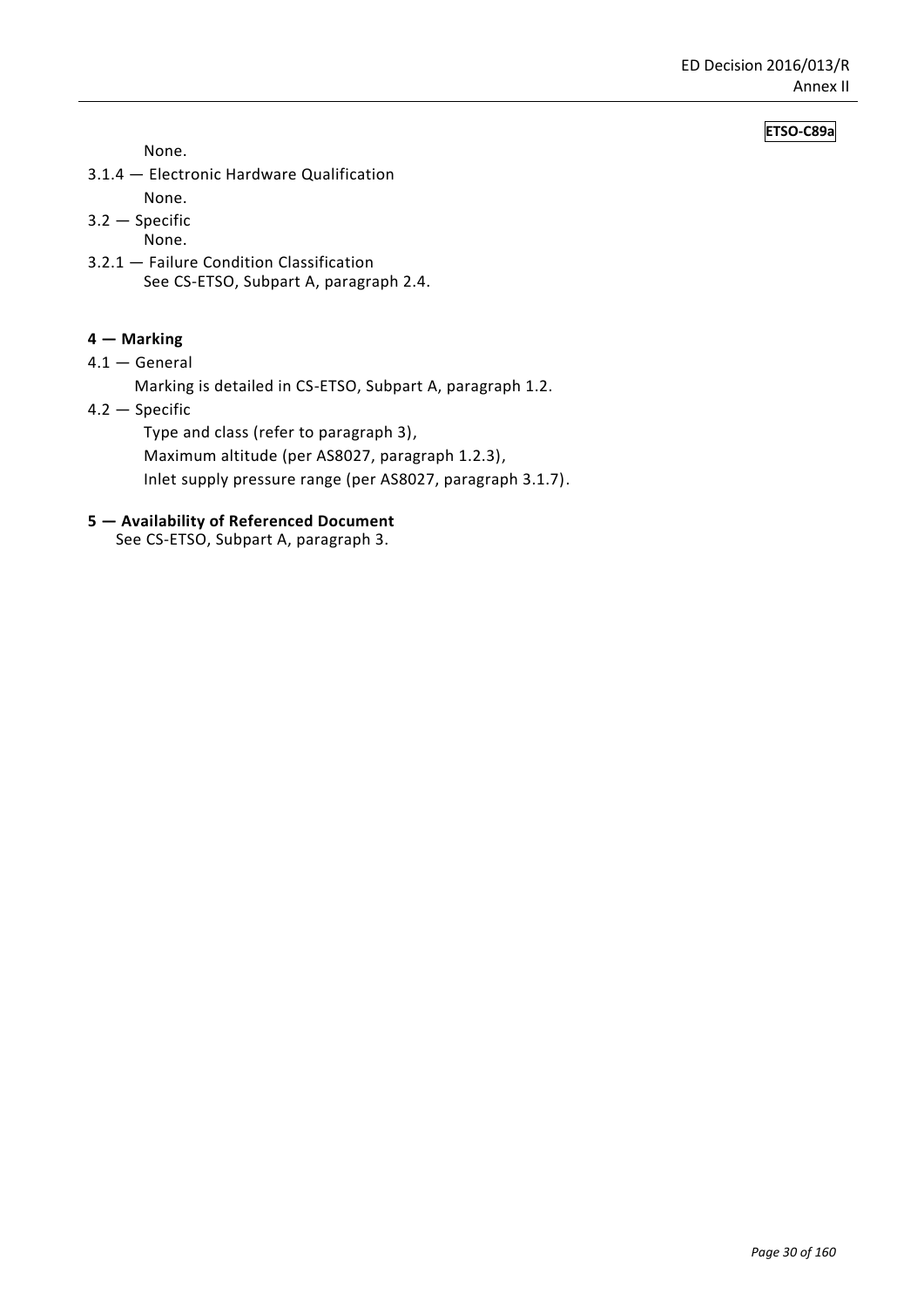# **ETSO-C89a**

None.

- 3.1.4 Electronic Hardware Qualification None.
- 3.2 Specific
- None.
- 3.2.1 Failure Condition Classification See CS-ETSO, Subpart A, paragraph 2.4.

# **4 — Marking**

4.1 — General

Marking is detailed in CS-ETSO, Subpart A, paragraph 1.2.

4.2 — Specific

Type and class (refer to paragraph 3),

Maximum altitude (per AS8027, paragraph 1.2.3),

Inlet supply pressure range (per AS8027, paragraph 3.1.7).

### **5 — Availability of Referenced Document**

See CS-ETSO, Subpart A, paragraph 3.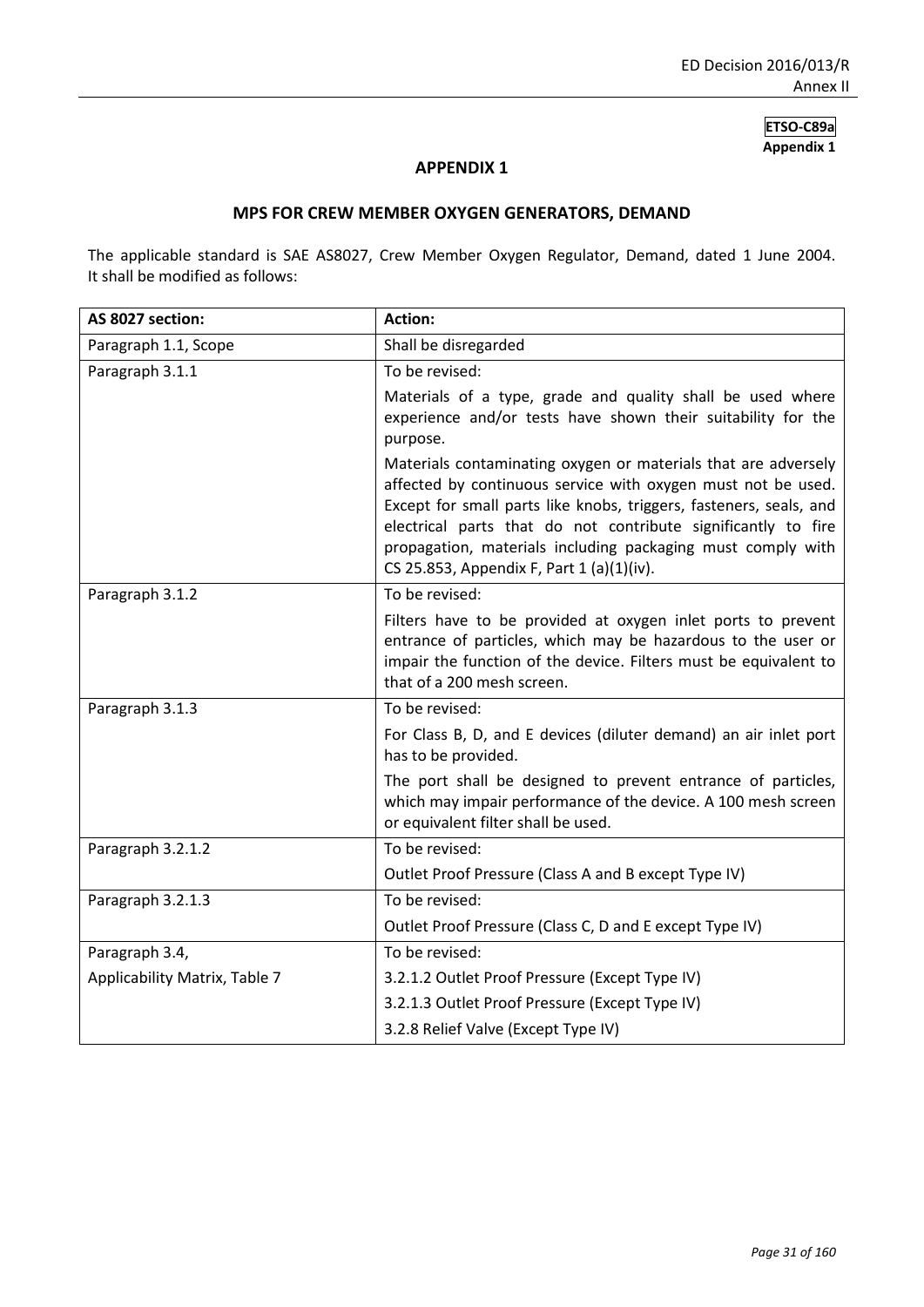# **ETSO-C89a Appendix 1**

# **APPENDIX 1**

# **MPS FOR CREW MEMBER OXYGEN GENERATORS, DEMAND**

The applicable standard is SAE AS8027, Crew Member Oxygen Regulator, Demand, dated 1 June 2004. It shall be modified as follows:

| AS 8027 section:              | <b>Action:</b>                                                                                                                                                                                                                                                                                                                                                                    |
|-------------------------------|-----------------------------------------------------------------------------------------------------------------------------------------------------------------------------------------------------------------------------------------------------------------------------------------------------------------------------------------------------------------------------------|
| Paragraph 1.1, Scope          | Shall be disregarded                                                                                                                                                                                                                                                                                                                                                              |
| Paragraph 3.1.1               | To be revised:                                                                                                                                                                                                                                                                                                                                                                    |
|                               | Materials of a type, grade and quality shall be used where<br>experience and/or tests have shown their suitability for the<br>purpose.                                                                                                                                                                                                                                            |
|                               | Materials contaminating oxygen or materials that are adversely<br>affected by continuous service with oxygen must not be used.<br>Except for small parts like knobs, triggers, fasteners, seals, and<br>electrical parts that do not contribute significantly to fire<br>propagation, materials including packaging must comply with<br>CS 25.853, Appendix F, Part 1 (a)(1)(iv). |
| Paragraph 3.1.2               | To be revised:                                                                                                                                                                                                                                                                                                                                                                    |
|                               | Filters have to be provided at oxygen inlet ports to prevent<br>entrance of particles, which may be hazardous to the user or<br>impair the function of the device. Filters must be equivalent to<br>that of a 200 mesh screen.                                                                                                                                                    |
| Paragraph 3.1.3               | To be revised:                                                                                                                                                                                                                                                                                                                                                                    |
|                               | For Class B, D, and E devices (diluter demand) an air inlet port<br>has to be provided.                                                                                                                                                                                                                                                                                           |
|                               | The port shall be designed to prevent entrance of particles,<br>which may impair performance of the device. A 100 mesh screen<br>or equivalent filter shall be used.                                                                                                                                                                                                              |
| Paragraph 3.2.1.2             | To be revised:                                                                                                                                                                                                                                                                                                                                                                    |
|                               | Outlet Proof Pressure (Class A and B except Type IV)                                                                                                                                                                                                                                                                                                                              |
| Paragraph 3.2.1.3             | To be revised:                                                                                                                                                                                                                                                                                                                                                                    |
|                               | Outlet Proof Pressure (Class C, D and E except Type IV)                                                                                                                                                                                                                                                                                                                           |
| Paragraph 3.4,                | To be revised:                                                                                                                                                                                                                                                                                                                                                                    |
| Applicability Matrix, Table 7 | 3.2.1.2 Outlet Proof Pressure (Except Type IV)                                                                                                                                                                                                                                                                                                                                    |
|                               | 3.2.1.3 Outlet Proof Pressure (Except Type IV)                                                                                                                                                                                                                                                                                                                                    |
|                               | 3.2.8 Relief Valve (Except Type IV)                                                                                                                                                                                                                                                                                                                                               |